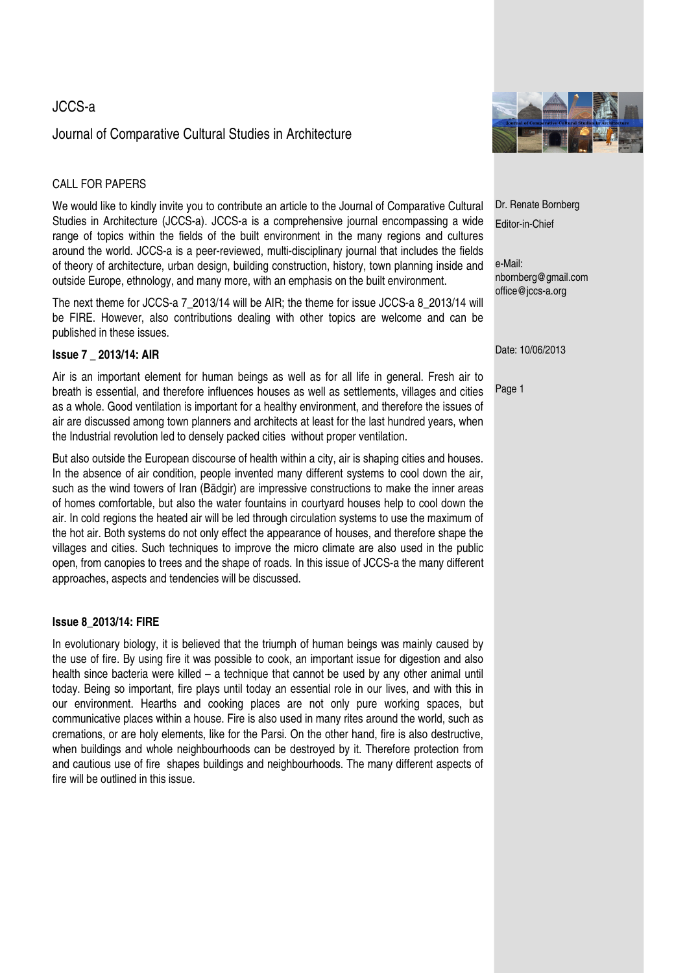# JCCS-a

# Journal of Comparative Cultural Studies in Architecture

## CALL FOR PAPERS

We would like to kindly invite you to contribute an article to the Journal of Comparative Cultural Studies in Architecture (JCCS-a). JCCS-a is a comprehensive journal encompassing a wide range of topics within the fields of the built environment in the many regions and cultures around the world. JCCS-a is a peer-reviewed, multi-disciplinary journal that includes the fields of theory of architecture, urban design, building construction, history, town planning inside and outside Europe, ethnology, and many more, with an emphasis on the built environment.

The next theme for JCCS-a 7\_2013/14 will be AIR; the theme for issue JCCS-a 8\_2013/14 will be FIRE. However, also contributions dealing with other topics are welcome and can be published in these issues.

#### **Issue 7 \_ 2013/14: AIR**

Air is an important element for human beings as well as for all life in general. Fresh air to breath is essential, and therefore influences houses as well as settlements, villages and cities as a whole. Good ventilation is important for a healthy environment, and therefore the issues of air are discussed among town planners and architects at least for the last hundred years, when the Industrial revolution led to densely packed cities without proper ventilation.

But also outside the European discourse of health within a city, air is shaping cities and houses. In the absence of air condition, people invented many different systems to cool down the air, such as the wind towers of Iran (Bādgir) are impressive constructions to make the inner areas of homes comfortable, but also the water fountains in courtyard houses help to cool down the air. In cold regions the heated air will be led through circulation systems to use the maximum of the hot air. Both systems do not only effect the appearance of houses, and therefore shape the villages and cities. Such techniques to improve the micro climate are also used in the public open, from canopies to trees and the shape of roads. In this issue of JCCS-a the many different approaches, aspects and tendencies will be discussed.

#### **Issue 8\_2013/14: FIRE**

In evolutionary biology, it is believed that the triumph of human beings was mainly caused by the use of fire. By using fire it was possible to cook, an important issue for digestion and also health since bacteria were killed – a technique that cannot be used by any other animal until today. Being so important, fire plays until today an essential role in our lives, and with this in our environment. Hearths and cooking places are not only pure working spaces, but communicative places within a house. Fire is also used in many rites around the world, such as cremations, or are holy elements, like for the Parsi. On the other hand, fire is also destructive, when buildings and whole neighbourhoods can be destroyed by it. Therefore protection from and cautious use of fire shapes buildings and neighbourhoods. The many different aspects of fire will be outlined in this issue.



Dr. Renate Bornberg Editor-in-Chief

e-Mail: nbornberg@gmail.com office@jccs-a.org

Date: 10/06/2013

Page 1